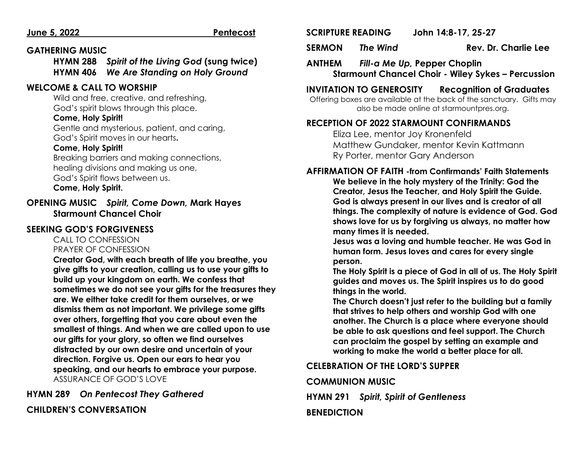#### **June 5, 2022 Pentecost**

#### **GATHERING MUSIC**

**HYMN 288** *Spirit of the Living God* **(sung twice) HYMN 406** *We Are Standing on Holy Ground*

#### **WELCOME & CALL TO WORSHIP**

Wild and free, creative, and refreshing, God's spirit blows through this place.

#### **Come, Holy Spirit!**

Gentle and mysterious, patient, and caring, God's Spirit moves in our hearts**.**

#### **Come, Holy Spirit!**

Breaking barriers and making connections, healing divisions and making us one, God's Spirit flows between us. **Come, Holy Spirit.**

**OPENING MUSIC** *Spirit, Come Down,* **Mark Hayes Starmount Chancel Choir**

#### **SEEKING GOD'S FORGIVENESS**

     CALL TO CONFESSION        PRAYER OF CONFESSION

**Creator God, with each breath of life you breathe, you give gifts to your creation, calling us to use your gifts to build up your kingdom on earth. We confess that sometimes we do not see your gifts for the treasures they are. We either take credit for them ourselves, or we dismiss them as not important. We privilege some gifts over others, forgetting that you care about even the smallest of things. And when we are called upon to use our gifts for your glory, so often we find ourselves distracted by our own desire and uncertain of your direction. Forgive us. Open our ears to hear you speaking, and our hearts to embrace your purpose.** ASSURANCE OF GOD'S LOVE

### **HYMN 289** *On Pentecost They Gathered*

### **CHILDREN'S CONVERSATION**

#### **SCRIPTURE READING John 14:8-17, 25-27**

**SERMON** *The Wind* **Rev. Dr. Charlie Lee**

**ANTHEM** *Fill-a Me Up,* **Pepper Choplin Starmount Chancel Choir - Wiley Sykes – Percussion**

#### **INVITATION TO GENEROSITY Recognition of Graduates**

Offering boxes are available at the back of the sanctuary. Gifts may also be made online at starmountpres.org.

#### **RECEPTION OF 2022 STARMOUNT CONFIRMANDS**

Eliza Lee, mentor Joy Kronenfeld Matthew Gundaker, mentor Kevin Kattmann Ry Porter, mentor Gary Anderson

#### **AFFIRMATION OF FAITH -from Confirmands' Faith Statements**

**We believe in the holy mystery of the Trinity: God the Creator, Jesus the Teacher, and Holy Spirit the Guide. God is always present in our lives and is creator of all things. The complexity of nature is evidence of God. God shows love for us by forgiving us always, no matter how many times it is needed.** 

**Jesus was a loving and humble teacher. He was God in human form. Jesus loves and cares for every single person.** 

**The Holy Spirit is a piece of God in all of us. The Holy Spirit guides and moves us. The Spirit inspires us to do good things in the world.** 

**The Church doesn't just refer to the building but a family that strives to help others and worship God with one another. The Church is a place where everyone should be able to ask questions and feel support. The Church can proclaim the gospel by setting an example and working to make the world a better place for all.**

### **CELEBRATION OF THE LORD'S SUPPER**

#### **COMMUNION MUSIC**

**HYMN 291** *Spirit, Spirit of Gentleness*

#### **BENEDICTION**